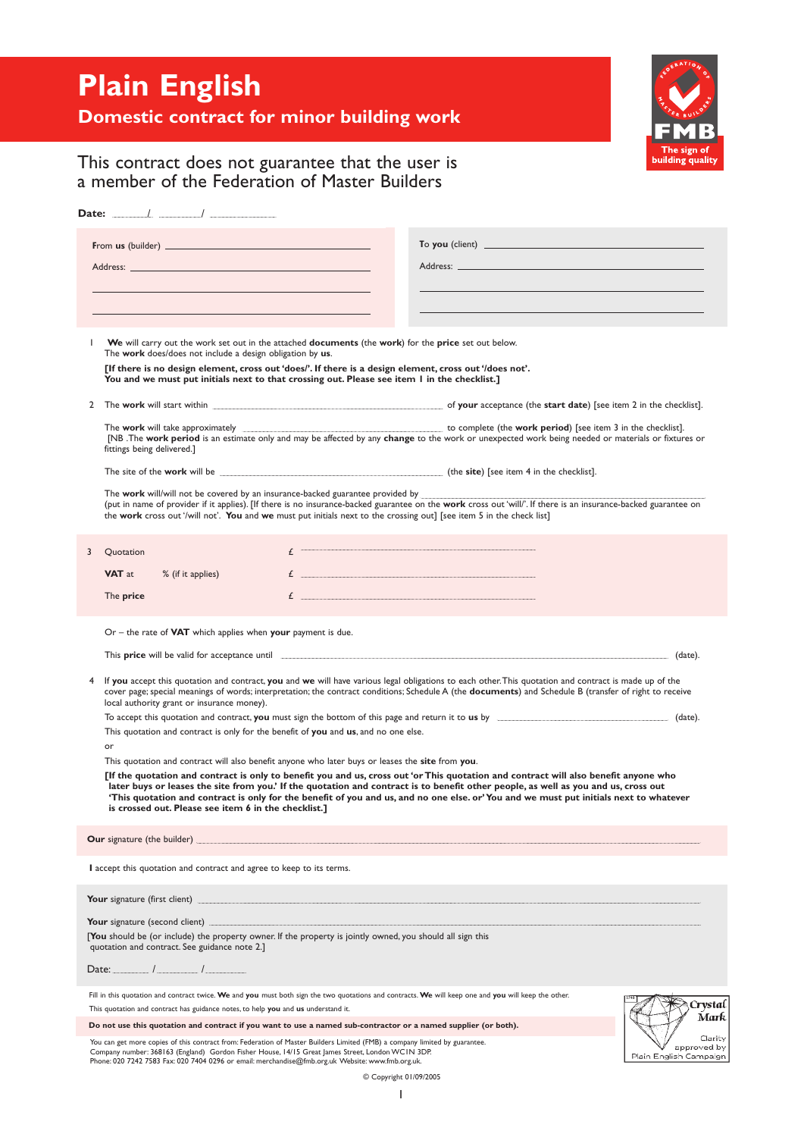# **Plain English**



## **Domestic contract for minor building work**

## This contract does not guarantee that the user is a member of the Federation of Master Builders

| Date: $\qquad \qquad /$ $\qquad \qquad /$                                                                                                                                                                                                                                                                                                                                                                                                                                                                                                                                                                                                                                                                                     |                                                                                                                                                                                                                                                                                                                                                                                                                                                                                                                                                                                                                                                                                                                                                                                                                                                                                                                                                                                        |
|-------------------------------------------------------------------------------------------------------------------------------------------------------------------------------------------------------------------------------------------------------------------------------------------------------------------------------------------------------------------------------------------------------------------------------------------------------------------------------------------------------------------------------------------------------------------------------------------------------------------------------------------------------------------------------------------------------------------------------|----------------------------------------------------------------------------------------------------------------------------------------------------------------------------------------------------------------------------------------------------------------------------------------------------------------------------------------------------------------------------------------------------------------------------------------------------------------------------------------------------------------------------------------------------------------------------------------------------------------------------------------------------------------------------------------------------------------------------------------------------------------------------------------------------------------------------------------------------------------------------------------------------------------------------------------------------------------------------------------|
| From us (builder) <b>Example 2018</b>                                                                                                                                                                                                                                                                                                                                                                                                                                                                                                                                                                                                                                                                                         | To you (client)                                                                                                                                                                                                                                                                                                                                                                                                                                                                                                                                                                                                                                                                                                                                                                                                                                                                                                                                                                        |
| $\mathbf{I}$<br>We will carry out the work set out in the attached <b>documents</b> (the work) for the price set out below.<br>The work does/does not include a design obligation by us.<br>[If there is no design element, cross out 'does/'. If there is a design element, cross out '/does not'.<br>You and we must put initials next to that crossing out. Please see item I in the checklist.]                                                                                                                                                                                                                                                                                                                           |                                                                                                                                                                                                                                                                                                                                                                                                                                                                                                                                                                                                                                                                                                                                                                                                                                                                                                                                                                                        |
| 2<br>The <b>work</b> will take approximately<br>fittings being delivered.]<br>The site of the <b>work</b> will be $\qquad \qquad$ (the site) [see item 4 in the checklist].<br>The work will/will not be covered by an insurance-backed guarantee provided by<br>the work cross out '/will not'. You and we must put initials next to the crossing out] [see item 5 in the check list]                                                                                                                                                                                                                                                                                                                                        | to complete (the work period) [see item 3 in the checklist].<br>[NB .The work period is an estimate only and may be affected by any change to the work or unexpected work being needed or materials or fixtures or<br>(put in name of provider if it applies). [If there is no insurance-backed guarantee on the work cross out 'will/'. If there is an insurance-backed guarantee on                                                                                                                                                                                                                                                                                                                                                                                                                                                                                                                                                                                                  |
| £<br>3<br>Quotation<br><b>VAT</b> at<br>% (if it applies)<br>The price                                                                                                                                                                                                                                                                                                                                                                                                                                                                                                                                                                                                                                                        | $\boldsymbol{f}$ , we are all the communication consequences are also and an area are also an area and an area are also an area and an area and an area and an area and an area and an area and an area and an area and an area and a<br>$\mathbf{f}$ and the set of the set of the set of the set of the set of the set of the set of the set of the set of the set of the set of the set of the set of the set of the set of the set of the set of the set of the set of                                                                                                                                                                                                                                                                                                                                                                                                                                                                                                             |
| Or – the rate of <b>VAT</b> which applies when <b>your</b> payment is due.<br>This <b>price</b> will be valid for acceptance until <b>manufacture</b> will be valid for acceptance until<br>4<br>local authority grant or insurance money).<br>This quotation and contract is only for the benefit of you and us, and no one else.<br>or<br>This quotation and contract will also benefit anyone who later buys or leases the site from you.<br>is crossed out. Please see item 6 in the checklist.]                                                                                                                                                                                                                          | (date).<br>If you accept this quotation and contract, you and we will have various legal obligations to each other. This quotation and contract is made up of the<br>cover page; special meanings of words; interpretation; the contract conditions; Schedule A (the documents) and Schedule B (transfer of right to receive<br>To accept this quotation and contract, you must sign the bottom of this page and return it to us by The manuscription and contract, you must sign the bottom of this page and return it to us by The manuscription and contrac<br>[If the quotation and contract is only to benefit you and us, cross out 'or This quotation and contract will also benefit anyone who<br>later buys or leases the site from you.' If the quotation and contract is to benefit other people, as well as you and us, cross out<br>'This quotation and contract is only for the benefit of you and us, and no one else. or'You and we must put initials next to whatever |
| Our signature (the builder)<br>I accept this quotation and contract and agree to keep to its terms.                                                                                                                                                                                                                                                                                                                                                                                                                                                                                                                                                                                                                           |                                                                                                                                                                                                                                                                                                                                                                                                                                                                                                                                                                                                                                                                                                                                                                                                                                                                                                                                                                                        |
| Your signature (first client)<br><b>Your</b> signature (second client)<br>[You should be (or include) the property owner. If the property is jointly owned, you should all sign this<br>quotation and contract. See guidance note 2.]<br>$\frac{1}{2}$ $\frac{1}{2}$ $\frac{1}{2}$ $\frac{1}{2}$ $\frac{1}{2}$ $\frac{1}{2}$ $\frac{1}{2}$ $\frac{1}{2}$ $\frac{1}{2}$ $\frac{1}{2}$ $\frac{1}{2}$ $\frac{1}{2}$ $\frac{1}{2}$ $\frac{1}{2}$ $\frac{1}{2}$ $\frac{1}{2}$ $\frac{1}{2}$ $\frac{1}{2}$ $\frac{1}{2}$ $\frac{1}{2}$ $\frac{1}{2}$ $\frac{1}{2}$<br>Date:<br>Fill in this quotation and contract twice. We and you must both sign the two quotations and contracts. We will keep one and you will keep the other. |                                                                                                                                                                                                                                                                                                                                                                                                                                                                                                                                                                                                                                                                                                                                                                                                                                                                                                                                                                                        |
| This quotation and contract has guidance notes, to help you and us understand it.<br>Do not use this quotation and contract if you want to use a named sub-contractor or a named supplier (or both).<br>You can get more copies of this contract from: Federation of Master Builders Limited (FMB) a company limited by guarantee.<br>Company number: 368163 (England) Gordon Fisher House, 14/15 Great James Street, London WC1N 3DP.<br>Phone: 020 7242 7583 Fax: 020 7404 0296 or email: merchandise@fmb.org.uk Website: www.fmb.org.uk.                                                                                                                                                                                   | Crvstal<br>Mark<br>Clarity<br>approved by<br>Plain English Campaign<br>© Copyright 01/09/2005                                                                                                                                                                                                                                                                                                                                                                                                                                                                                                                                                                                                                                                                                                                                                                                                                                                                                          |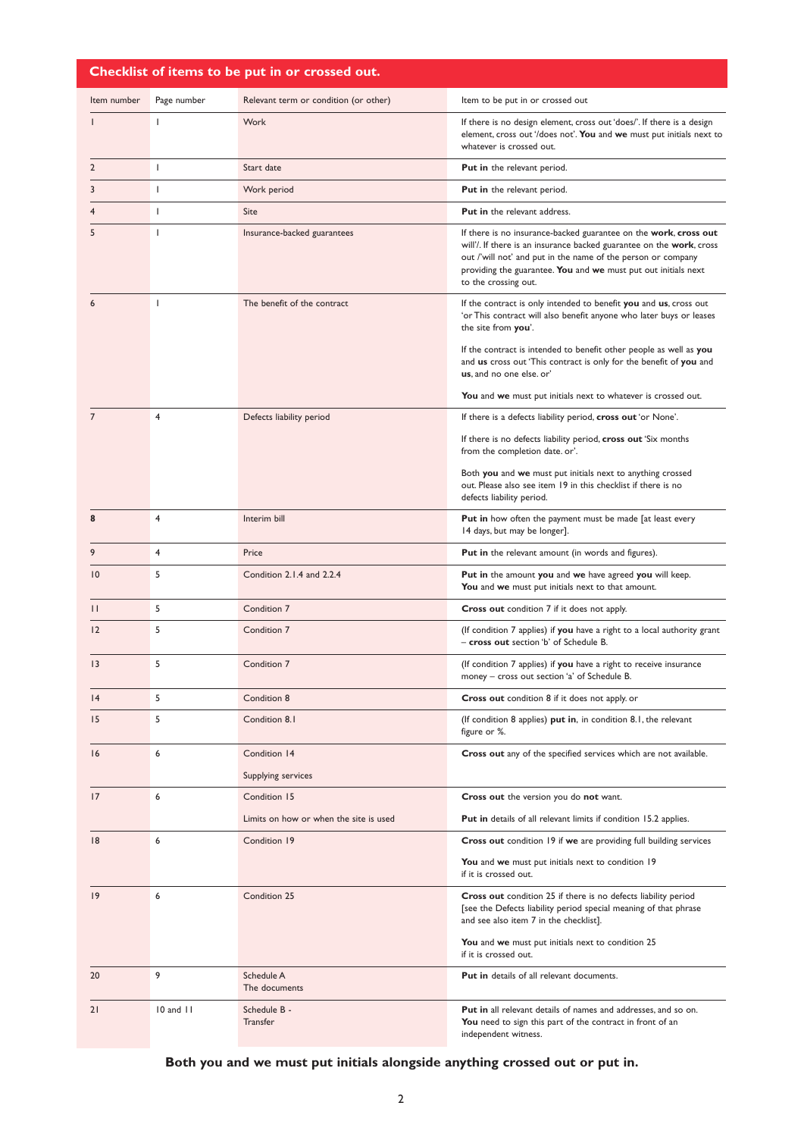## **Checklist of items to be put in or crossed out.**

| Item number     | Page number  | Relevant term or condition (or other)  | Item to be put in or crossed out                                                                                                                                                                                                                                                                   |  |
|-----------------|--------------|----------------------------------------|----------------------------------------------------------------------------------------------------------------------------------------------------------------------------------------------------------------------------------------------------------------------------------------------------|--|
|                 | $\mathbf{I}$ | Work                                   | If there is no design element, cross out 'does/'. If there is a design<br>element, cross out '/does not'. You and we must put initials next to<br>whatever is crossed out.                                                                                                                         |  |
| $\overline{2}$  | T            | Start date                             | <b>Put in</b> the relevant period.                                                                                                                                                                                                                                                                 |  |
| 3               | $\mathbf{I}$ | Work period                            | <b>Put in</b> the relevant period.                                                                                                                                                                                                                                                                 |  |
| 4               | $\mathbf{I}$ | <b>Site</b>                            | <b>Put in the relevant address.</b>                                                                                                                                                                                                                                                                |  |
| 5               | $\mathbf{I}$ | Insurance-backed guarantees            | If there is no insurance-backed guarantee on the work, cross out<br>will'/. If there is an insurance backed guarantee on the work, cross<br>out /'will not' and put in the name of the person or company<br>providing the guarantee. You and we must put out initials next<br>to the crossing out. |  |
|                 | T            | The benefit of the contract            | If the contract is only intended to benefit you and us, cross out<br>'or This contract will also benefit anyone who later buys or leases<br>the site from you'.                                                                                                                                    |  |
|                 |              |                                        | If the contract is intended to benefit other people as well as you<br>and us cross out 'This contract is only for the benefit of you and<br>us, and no one else. or'                                                                                                                               |  |
|                 |              |                                        | You and we must put initials next to whatever is crossed out.                                                                                                                                                                                                                                      |  |
| $\overline{7}$  | 4            | Defects liability period               | If there is a defects liability period, cross out 'or None'.                                                                                                                                                                                                                                       |  |
|                 |              |                                        | If there is no defects liability period, cross out 'Six months<br>from the completion date. or'.                                                                                                                                                                                                   |  |
|                 |              |                                        | Both you and we must put initials next to anything crossed<br>out. Please also see item 19 in this checklist if there is no<br>defects liability period.                                                                                                                                           |  |
| 8               | 4            | Interim bill                           | <b>Put in</b> how often the payment must be made [at least every<br>14 days, but may be longer].                                                                                                                                                                                                   |  |
| 9               | 4            | Price                                  | <b>Put in</b> the relevant amount (in words and figures).                                                                                                                                                                                                                                          |  |
| $\overline{10}$ | 5            | Condition 2.1.4 and 2.2.4              | Put in the amount you and we have agreed you will keep.<br>You and we must put initials next to that amount.                                                                                                                                                                                       |  |
| $\mathsf{H}$    | 5            | Condition 7                            | Cross out condition 7 if it does not apply.                                                                                                                                                                                                                                                        |  |
| 12              | 5            | Condition 7                            | (If condition 7 applies) if you have a right to a local authority grant<br>- cross out section 'b' of Schedule B.                                                                                                                                                                                  |  |
| 3               | 5            | Condition 7                            | (If condition 7 applies) if you have a right to receive insurance<br>money - cross out section 'a' of Schedule B.                                                                                                                                                                                  |  |
| 4               | 5            | Condition 8                            | Cross out condition 8 if it does not apply. or                                                                                                                                                                                                                                                     |  |
| 15              | 5            | Condition 8.1                          | (If condition 8 applies) put in, in condition 8.1, the relevant<br>figure or %.                                                                                                                                                                                                                    |  |
| 16              | 6            | Condition 14                           | Cross out any of the specified services which are not available.                                                                                                                                                                                                                                   |  |
|                 |              | Supplying services                     |                                                                                                                                                                                                                                                                                                    |  |
| 17              | 6            | Condition 15                           | Cross out the version you do not want.                                                                                                                                                                                                                                                             |  |
|                 |              | Limits on how or when the site is used | <b>Put in</b> details of all relevant limits if condition 15.2 applies.                                                                                                                                                                                                                            |  |
| 8               | 6            | Condition 19                           | Cross out condition 19 if we are providing full building services                                                                                                                                                                                                                                  |  |
|                 |              |                                        | You and we must put initials next to condition 19<br>if it is crossed out.                                                                                                                                                                                                                         |  |
| $ 9\rangle$     | 6            | Condition 25                           | Cross out condition 25 if there is no defects liability period<br>[see the Defects liability period special meaning of that phrase<br>and see also item 7 in the checklist].<br>You and we must put initials next to condition 25                                                                  |  |
|                 |              |                                        | if it is crossed out.                                                                                                                                                                                                                                                                              |  |
| 20              | 9            | Schedule A<br>The documents            | <b>Put in</b> details of all relevant documents.                                                                                                                                                                                                                                                   |  |
| 21              | 10 and 11    | Schedule B -<br>Transfer               | <b>Put in</b> all relevant details of names and addresses, and so on.<br>You need to sign this part of the contract in front of an<br>independent witness.                                                                                                                                         |  |

## **Both you and we must put initials alongside anything crossed out or put in.**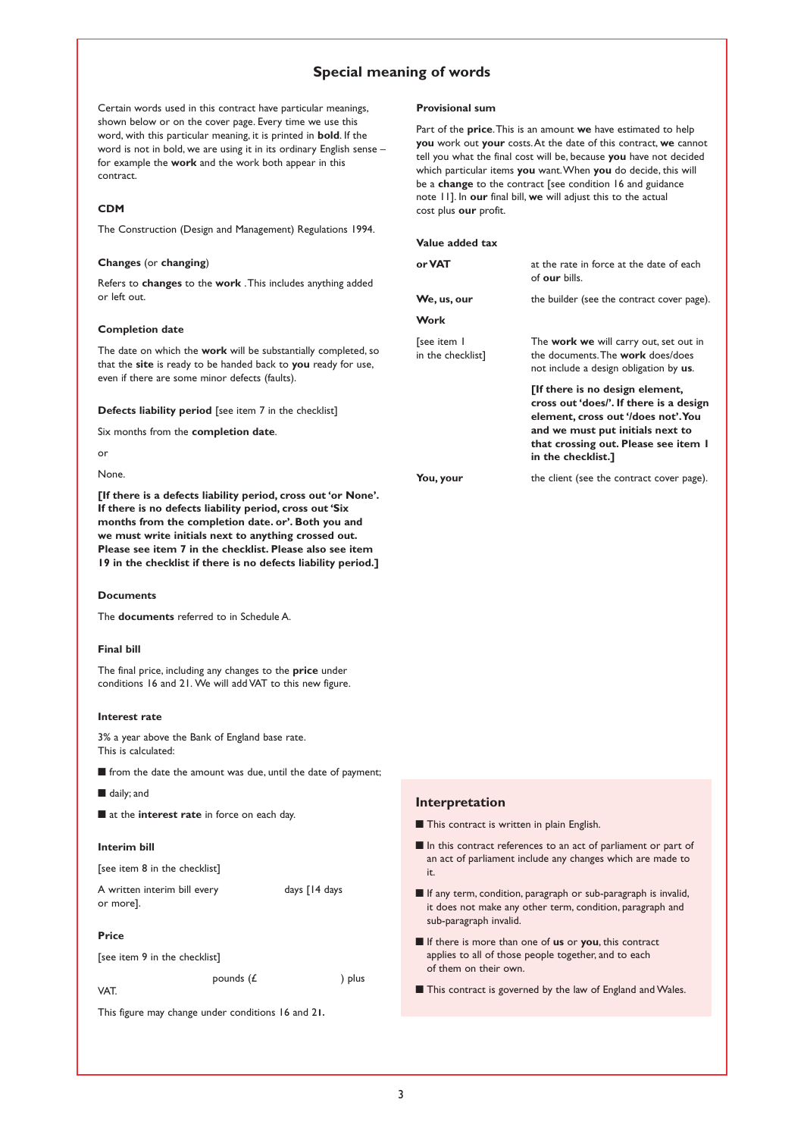## **Special meaning of words**

Certain words used in this contract have particular meanings, shown below or on the cover page. Every time we use this word, with this particular meaning, it is printed in **bold**. If the word is not in bold, we are using it in its ordinary English sense – for example the **work** and the work both appear in this contract.

#### **CDM**

The Construction (Design and Management) Regulations 1994.

#### **Changes** (or **changing**)

Refers to **changes** to the **work** .This includes anything added or left out.

#### **Completion date**

The date on which the **work** will be substantially completed, so that the **site** is ready to be handed back to **you** ready for use, even if there are some minor defects (faults).

**Defects liability period** [see item 7 in the checklist]

Six months from the **completion date**.

or

#### None.

**[If there is a defects liability period, cross out 'or None'. If there is no defects liability period, cross out 'Six months from the completion date. or'. Both you and we must write initials next to anything crossed out. Please see item 7 in the checklist. Please also see item 19 in the checklist if there is no defects liability period.]**

#### **Documents**

The **documents** referred to in Schedule A.

#### **Final bill**

The final price, including any changes to the **price** under conditions 16 and 21. We will add VAT to this new figure.

#### **Interest rate**

3% a year above the Bank of England base rate. This is calculated:

**■** from the date the amount was due, until the date of payment;

**■** daily; and

**■** at the **interest rate** in force on each day.

#### **Interim bill**

[see item 8 in the checklist]

A written interim bill every days [14 days or more].

#### **Price**

[see item 9 in the checklist]

pounds  $(E$  ) plus

This figure may change under conditions 16 and 2**1.**

VAT.

#### **Provisional sum**

Part of the **price**.This is an amount **we** have estimated to help **you** work out **your** costs.At the date of this contract, **we** cannot tell you what the final cost will be, because **you** have not decided which particular items **you** want.When **you** do decide, this will be a **change** to the contract [see condition 16 and guidance note 11]. In **our** final bill, **we** will adjust this to the actual cost plus **our** profit.

#### **Value added tax**

| at the rate in force at the date of each<br>of our bills.                                                                                                                                                           |
|---------------------------------------------------------------------------------------------------------------------------------------------------------------------------------------------------------------------|
| the builder (see the contract cover page).                                                                                                                                                                          |
|                                                                                                                                                                                                                     |
| The <b>work we</b> will carry out, set out in<br>the documents. The <b>work</b> does/does<br>not include a design obligation by us.                                                                                 |
| [If there is no design element,<br>cross out 'does/'. If there is a design<br>element, cross out '/does not'. You<br>and we must put initials next to<br>that crossing out. Please see item I<br>in the checklist.] |
| the client (see the contract cover page).                                                                                                                                                                           |
|                                                                                                                                                                                                                     |

#### **Interpretation**

■ This contract is written in plain English.

- In this contract references to an act of parliament or part of an act of parliament include any changes which are made to it.
- **■** If any term, condition, paragraph or sub-paragraph is invalid, it does not make any other term, condition, paragraph and sub-paragraph invalid.
- **■** If there is more than one of **us** or **you**, this contract applies to all of those people together, and to each of them on their own.
- This contract is governed by the law of England and Wales.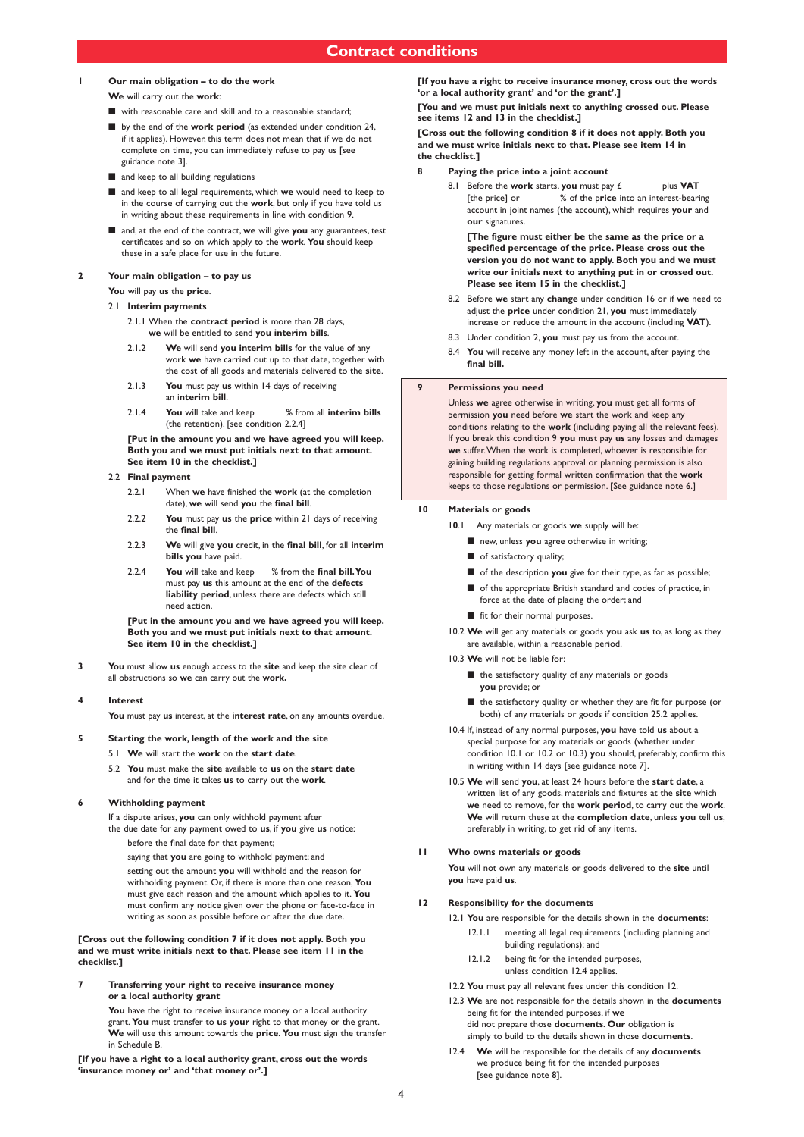## **1 Our main obligation – to do the work**

**We** will carry out the **work**:

- **■** with reasonable care and skill and to a reasonable standard;
- **■** by the end of the **work period** (as extended under condition 24, if it applies). However, this term does not mean that if we do not complete on time, you can immediately refuse to pay us [see guidance note 3].
- and keep to all building regulations
- and keep to all legal requirements, which we would need to keep to in the course of carrying out the **work**, but only if you have told us in writing about these requirements in line with condition 9.
- and, at the end of the contract, we will give you any guarantees, test certificates and so on which apply to the **work**. **You** should keep these in a safe place for use in the future.

#### **2 Your main obligation – to pay us**

**You** will pay **us** the **price**.

- 2.1 **Interim payments**
	- 2.1.1 When the **contract period** is more than 28 days, **we** will be entitled to send **you interim bills**.
	- 2.1.2 **We** will send **you interim bills** for the value of any work **we** have carried out up to that date, together with the cost of all goods and materials delivered to the **site**.
	- 2.1.3 **You** must pay **us** within 14 days of receiving an i**nterim bill**.
	- 2.1.4 **You** will take and keep % from all **interim bills** (the retention). [see condition 2.2.4]

**[Put in the amount you and we have agreed you will keep. Both you and we must put initials next to that amount. See item 10 in the checklist.]**

- 2.2 **Final payment**
	- 2.2.1 When **we** have finished the **work** (at the completion date), **we** will send **you** the **final bill**.
	- 2.2.2 **You** must pay **us** the **price** within 21 days of receiving the **final bill**.
	- 2.2.3 **We** will give **you** credit, in the **final bill**, for all **interim bills you** have paid.
	- 2.2.4 **You** will take and keep % from the **final bill.You** must pay **us** this amount at the end of the **defects liability period**, unless there are defects which still need action.

**[Put in the amount you and we have agreed you will keep. Both you and we must put initials next to that amount. See item 10 in the checklist.]**

**3 You** must allow **us** enough access to the **site** and keep the site clear of all obstructions so **we** can carry out the **work.**

#### **4 Interest**

**You** must pay **us** interest, at the **interest rate**, on any amounts overdue.

#### **5 Starting the work, length of the work and the site**

- 5.1 **We** will start the **work** on the **start date**.
- 5.2 **You** must make the **site** available to **us** on the **start date** and for the time it takes **us** to carry out the **work**.

#### **6 Withholding payment**

If a dispute arises, **you** can only withhold payment after

- the due date for any payment owed to **us**, if **you** give **us** notice: before the final date for that payment;
	- saying that **you** are going to withhold payment; and

setting out the amount **you** will withhold and the reason for withholding payment. Or, if there is more than one reason, **You** must give each reason and the amount which applies to it. **You** must confirm any notice given over the phone or face-to-face in writing as soon as possible before or after the due date.

#### **[Cross out the following condition 7 if it does not apply. Both you and we must write initials next to that. Please see item 11 in the checklist.]**

**7 Transferring your right to receive insurance money or a local authority grant**

> You have the right to receive insurance money or a local authority grant. **You** must transfer to **us your** right to that money or the grant. **We** will use this amount towards the **price**. **You** must sign the transfer in Schedule B.

**[If you have a right to a local authority grant, cross out the words 'insurance money or' and 'that money or'.]**

**[If you have a right to receive insurance money, cross out the words 'or a local authority grant' and 'or the grant'.]**

**[You and we must put initials next to anything crossed out. Please see items 12 and 13 in the checklist.]**

**[Cross out the following condition 8 if it does not apply. Both you and we must write initials next to that. Please see item 14 in the checklist.]**

- **8 Paying the price into a joint account**
	- 8.1 Before the **work** starts, **you** must pay  $f$  plus **VAT** [the price] or % of the p**rice** into an interest-bearing account in joint names (the account), which requires **your** and **our** signatures.

**[The figure must either be the same as the price or a specified percentage of the price. Please cross out the version you do not want to apply. Both you and we must write our initials next to anything put in or crossed out. Please see item 15 in the checklist.]**

- 8.2 Before **we** start any **change** under condition 16 or if **we** need to adjust the **price** under condition 21, **you** must immediately increase or reduce the amount in the account (including **VAT**).
- 8.3 Under condition 2, **you** must pay **us** from the account.
- 8.4 **You** will receive any money left in the account, after paying the **final bill.**

#### **9 Permissions you need**

Unless **we** agree otherwise in writing, **you** must get all forms of permission **you** need before **we** start the work and keep any conditions relating to the **work** (including paying all the relevant fees). If you break this condition 9 **you** must pay **us** any losses and damages **we** suffer.When the work is completed, whoever is responsible for gaining building regulations approval or planning permission is also responsible for getting formal written confirmation that the **work** keeps to those regulations or permission. [See guidance note 6.]

#### **10 Materials or goods**

1**0**.1 Any materials or goods **we** supply will be:

- new, unless you agree otherwise in writing;
- of satisfactory quality;
- of the description you give for their type, as far as possible;
- of the appropriate British standard and codes of practice, in force at the date of placing the order; and
- fit for their normal purposes.
- 10.2 **We** will get any materials or goods **you** ask **us** to, as long as they are available, within a reasonable period.
- 10.3 **We** will not be liable for:
	- the satisfactory quality of any materials or goods **you** provide; or
	- the satisfactory quality or whether they are fit for purpose (or both) of any materials or goods if condition 25.2 applies.
- 10.4 If, instead of any normal purposes, **you** have told **us** about a special purpose for any materials or goods (whether under condition 10.1 or 10.2 or 10.3) **you** should, preferably, confirm this in writing within 14 days [see guidance note 7].
- 10.5 **We** will send **you**, at least 24 hours before the **start date**, a written list of any goods, materials and fixtures at the **site** which **we** need to remove, for the **work period**, to carry out the **work**. **We** will return these at the **completion date**, unless **you** tell **us**, preferably in writing, to get rid of any items.

#### **11 Who owns materials or goods**

**You** will not own any materials or goods delivered to the **site** until **you** have paid **us**.

#### **12 Responsibility for the documents**

- 12.1 **You** are responsible for the details shown in the **documents**: 12.1.1 meeting all legal requirements (including planning and building regulations); and
	- 12.1.2 being fit for the intended purposes,
		- unless condition 12.4 applies.
- 12.2 **You** must pay all relevant fees under this condition 12.
- 12.3 **We** are not responsible for the details shown in the **documents** being fit for the intended purposes, if **we** did not prepare those **documents**. **Our** obligation is simply to build to the details shown in those **documents**.
- 12.4 **We** will be responsible for the details of any **documents** we produce being fit for the intended purposes [see guidance note 8].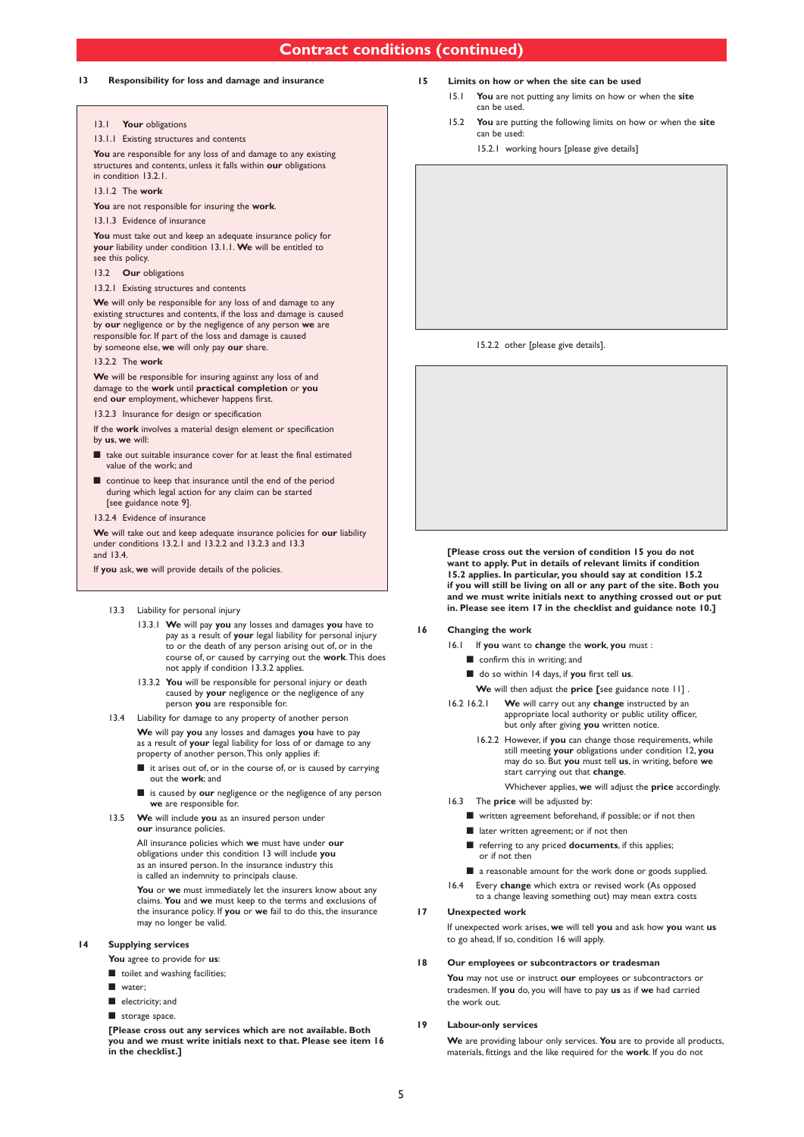### **Contract conditions (continued)**

#### **13 Responsibility for loss and damage and insurance**

#### 13.1 **Your** obligations

13.1.1 Existing structures and contents

**You** are responsible for any loss of and damage to any existing structures and contents, unless it falls within **our** obligations in condition 13.2.1.

13.1.2 The **work**

**You** are not responsible for insuring the **work**.

#### 13.1.3 Evidence of insurance

**You** must take out and keep an adequate insurance policy for **your** liability under condition 13.1.1. **We** will be entitled to see this policy.

#### 13.2 **Our** obligations

13.2.1 Existing structures and contents

**We** will only be responsible for any loss of and damage to any existing structures and contents, if the loss and damage is caused by **our** negligence or by the negligence of any person **we** are responsible for. If part of the loss and damage is caused by someone else, **we** will only pay **our** share.

#### 13.2.2 The **work**

**We** will be responsible for insuring against any loss of and damage to the **work** until **practical completion** or **you** end **our** employment, whichever happens first.

13.2.3 Insurance for design or specification

If the **work** involves a material design element or specification by **us**, **we** will:

- take out suitable insurance cover for at least the final estimated value of the work; and
- continue to keep that insurance until the end of the period during which legal action for any claim can be started [see guidance note 9].

13.2.4 Evidence of insurance

**We** will take out and keep adequate insurance policies for **our** liability under conditions 13.2.1 and 13.2.2 and 13.2.3 and 13.3 and 13.4.

If **you** ask, **we** will provide details of the policies.

#### 13.3 Liability for personal injury

- 13.3.1 **We** will pay **you** any losses and damages **you** have to pay as a result of **your** legal liability for personal injury to or the death of any person arising out of, or in the course of, or caused by carrying out the **work**.This does not apply if condition 13.3.2 applies.
- 13.3.2 **You** will be responsible for personal injury or death caused by **your** negligence or the negligence of any person **you** are responsible for.
- 13.4 Liability for damage to any property of another person **We** will pay **you** any losses and damages **you** have to pay as a result of **your** legal liability for loss of or damage to any property of another person.This only applies if:
	- it arises out of, or in the course of, or is caused by carrying out the **work**; and
	- **■** is caused by **our** negligence or the negligence of any person **we** are responsible for.
- 13.5 **We** will include **you** as an insured person under **our** insurance policies.

All insurance policies which **we** must have under **our** obligations under this condition 13 will include **you** as an insured person. In the insurance industry this is called an indemnity to principals clause.

**You** or **we** must immediately let the insurers know about any claims. **You** and **we** must keep to the terms and exclusions of the insurance policy. If **you** or **we** fail to do this, the insurance may no longer be valid.

#### **14 Supplying services**

**You** agree to provide for **us**:

- toilet and washing facilities;
- **■** water;
- **■** electricity; and

**■** storage space.

**[Please cross out any services which are not available. Both you and we must write initials next to that. Please see item 16 in the checklist.]**

#### **15 Limits on how or when the site can be used**

- 15.1 **You** are not putting any limits on how or when the **site** can be used
- 15.2 **You** are putting the following limits on how or when the **site** can be used:
	- 15.2.1 working hours [please give details]

15.2.2 other [please give details].

**[Please cross out the version of condition 15 you do not want to apply. Put in details of relevant limits if condition 15.2 applies. In particular, you should say at condition 15.2 if you will still be living on all or any part of the site. Both you and we must write initials next to anything crossed out or put in. Please see item 17 in the checklist and guidance note 10.]**

#### **16 Changing the work**

- 16.1 If **you** want to **change** the **work**, **you** must :
	- confirm this in writing; and
	- do so within 14 days, if you first tell us
	- **We** will then adjust the **price [**see guidance note 11] .
- 16.2 16.2.1 **We** will carry out any **change** instructed by an appropriate local authority or public utility officer, but only after giving **you** written notice.
	- 16.2.2 However, if **you** can change those requirements, while still meeting **your** obligations under condition 12, **you** may do so. But **you** must tell **us**, in writing, before **we** start carrying out that **change**.
		- Whichever applies, **we** will adjust the **price** accordingly.
- 16.3 The **price** will be adjusted by:
	- written agreement beforehand, if possible; or if not then
	- later written agreement; or if not then
	- referring to any priced **documents**, if this applies; or if not then
	- a reasonable amount for the work done or goods supplied.
- 16.4 Every **change** which extra or revised work (As opposed to a change leaving something out) may mean extra costs

#### **17 Unexpected work**

If unexpected work arises, **we** will tell **you** and ask how **you** want **us** to go ahead, If so, condition 16 will apply.

#### **18 Our employees or subcontractors or tradesman**

**You** may not use or instruct **our** employees or subcontractors or tradesmen. If **you** do, you will have to pay **us** as if **we** had carried the work out.

#### **19 Labour-only services**

**We** are providing labour only services. **You** are to provide all products, materials, fittings and the like required for the **work**. If you do not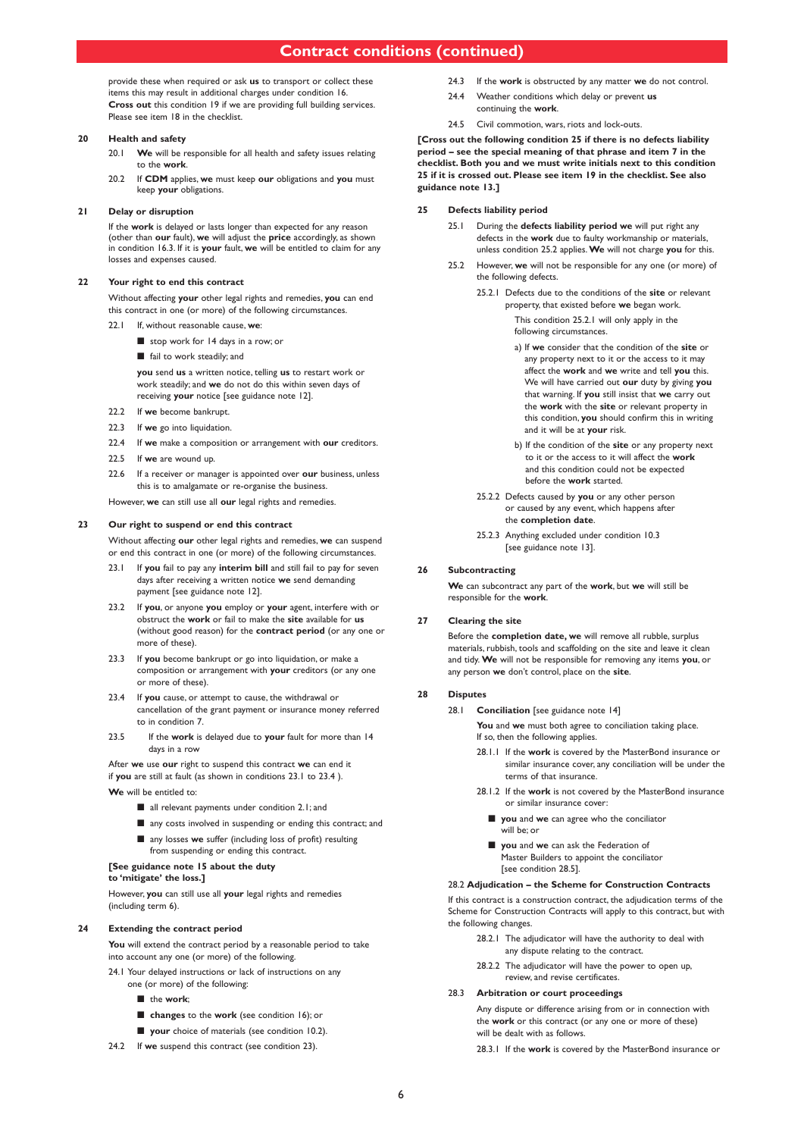### **Contract conditions (continued)**

provide these when required or ask **us** to transport or collect these items this may result in additional charges under condition 16. **Cross out** this condition 19 if we are providing full building services. Please see item 18 in the checklist.

#### **20 Health and safety**

20.1 **We** will be responsible for all health and safety issues relating to the **work**.

20.2 If **CDM** applies, **we** must keep **our** obligations and **you** must keep **your** obligations.

#### **21 Delay or disruption**

If the **work** is delayed or lasts longer than expected for any reason (other than **our** fault), **we** will adjust the **price** accordingly, as shown in condition 16.3. If it is **your** fault, **we** will be entitled to claim for any losses and expenses caused.

#### **22 Your right to end this contract**

Without affecting **your** other legal rights and remedies, **you** can end this contract in one (or more) of the following circumstances.

- 22.1 If, without reasonable cause, **we**:
	- stop work for 14 days in a row; or
	- fail to work steadily; and

**you** send **us** a written notice, telling **us** to restart work or work steadily; and **we** do not do this within seven days of receiving **your** notice [see guidance note 12].

- 22.2 If **we** become bankrupt.
- 22.3 If **we** go into liquidation.
- 22.4 If **we** make a composition or arrangement with **our** creditors.
- 22.5 If **we** are wound up.
- 22.6 If a receiver or manager is appointed over **our** business, unless this is to amalgamate or re-organise the business.

However, **we** can still use all **our** legal rights and remedies.

#### **23 Our right to suspend or end this contract**

Without affecting **our** other legal rights and remedies, **we** can suspend or end this contract in one (or more) of the following circumstances.

- 23.1 If **you** fail to pay any **interim bill** and still fail to pay for seven days after receiving a written notice **we** send demanding payment [see guidance note 12].
- 23.2 If **you**, or anyone **you** employ or **your** agent, interfere with or obstruct the **work** or fail to make the **site** available for **us** (without good reason) for the **contract period** (or any one or more of these).
- 23.3 If **you** become bankrupt or go into liquidation, or make a composition or arrangement with **your** creditors (or any one or more of these).
- 23.4 If **you** cause, or attempt to cause, the withdrawal or cancellation of the grant payment or insurance money referred to in condition 7.
- 23.5 If the **work** is delayed due to **your** fault for more than 14 days in a row

After **we** use **our** right to suspend this contract **we** can end it if **you** are still at fault (as shown in conditions 23.1 to 23.4 ). **We** will be entitled to:

- all relevant payments under condition 2.1; and
- any costs involved in suspending or ending this contract: and
- any losses **we** suffer (including loss of profit) resulting
- from suspending or ending this contract. **[See guidance note 15 about the duty**

### **to 'mitigate' the loss.]**

However, **you** can still use all **your** legal rights and remedies (including term 6).

#### **24 Extending the contract period**

**You** will extend the contract period by a reasonable period to take into account any one (or more) of the following.

- 24.1 Your delayed instructions or lack of instructions on any one (or more) of the following:
	- **■** the **work**;
	- **changes** to the **work** (see condition 16); or
	- **your** choice of materials (see condition 10.2).
- 24.2 If **we** suspend this contract (see condition 23).
- 24.3 If the **work** is obstructed by any matter **we** do not control.
- 24.4 Weather conditions which delay or prevent **us** continuing the **work**.
- 24.5 Civil commotion, wars, riots and lock-outs.

**[Cross out the following condition 25 if there is no defects liability period – see the special meaning of that phrase and item 7 in the checklist. Both you and we must write initials next to this condition 25 if it is crossed out. Please see item 19 in the checklist. See also guidance note 13.]**

#### **25 Defects liability period**

- 25.1 During the **defects liability period we** will put right any defects in the **work** due to faulty workmanship or materials, unless condition 25.2 applies.**We** will not charge **you** for this.
- 25.2 However, **we** will not be responsible for any one (or more) of the following defects.
	- 25.2.1 Defects due to the conditions of the **site** or relevant property, that existed before **we** began work.

This condition 25.2.1 will only apply in the following circumstances.

- a) If **we** consider that the condition of the **site** or any property next to it or the access to it may affect the **work** and **we** write and tell **you** this. We will have carried out **our** duty by giving **you** that warning. If **you** still insist that **we** carry out the **work** with the **site** or relevant property in this condition, **you** should confirm this in writing and it will be at **your** risk.
- b) If the condition of the **site** or any property next to it or the access to it will affect the **work** and this condition could not be expected before the **work** started.
- 25.2.2 Defects caused by **you** or any other person or caused by any event, which happens after the **completion date**.
- 25.2.3 Anything excluded under condition 10.3 [see guidance note 13].

#### **26 Subcontracting**

**We** can subcontract any part of the **work**, but **we** will still be responsible for the **work**.

#### **27 Clearing the site**

Before the **completion date, we** will remove all rubble, surplus materials, rubbish, tools and scaffolding on the site and leave it clean and tidy. **We** will not be responsible for removing any items **you**, or any person **we** don't control, place on the **site**.

#### **28 Disputes**

28.1 **Conciliation** [see guidance note 14]

**You** and **we** must both agree to conciliation taking place. If so, then the following applies.

- 28.1.1 If the **work** is covered by the MasterBond insurance or similar insurance cover, any conciliation will be under the terms of that insurance.
- 28.1.2 If the **work** is not covered by the MasterBond insurance or similar insurance cover:
	- **you** and **we** can agree who the conciliator will be; or
	- **■ you** and **we** can ask the Federation of Master Builders to appoint the conciliator [see condition 28.5].

#### 28.2 **Adjudication – the Scheme for Construction Contracts**

If this contract is a construction contract, the adjudication terms of the Scheme for Construction Contracts will apply to this contract, but with the following changes.

- 28.2.1 The adjudicator will have the authority to deal with any dispute relating to the contract.
- 28.2.2 The adjudicator will have the power to open up, review, and revise certificates.

#### 28.3 **Arbitration or court proceedings**

Any dispute or difference arising from or in connection with the **work** or this contract (or any one or more of these) will be dealt with as follows.

28.3.1 If the **work** is covered by the MasterBond insurance or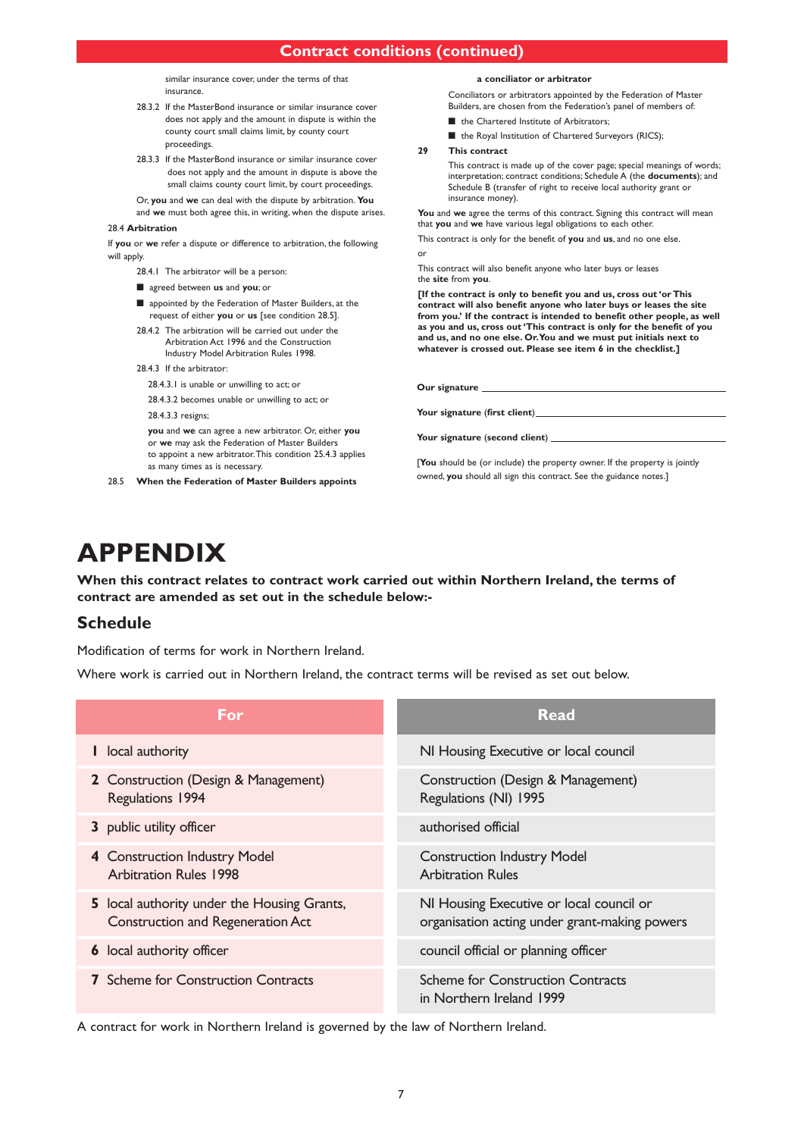similar insurance cover, under the terms of that insurance.

- 28.3.2 If the MasterBond insurance or similar insurance cover does not apply and the amount in dispute is within the county court small claims limit, by county court proceedings.
- 28.3.3 If the MasterBond insurance or similar insurance cover does not apply and the amount in dispute is above the small claims county court limit, by court proceedings.

Or, **you** and **we** can deal with the dispute by arbitration. **You** and **we** must both agree this, in writing, when the dispute arises.

#### 28.4 **Arbitration**

If **you** or **we** refer a dispute or difference to arbitration, the following will apply.

28.4.1 The arbitrator will be a person:

- agreed between **us** and **you**; or
- appointed by the Federation of Master Builders, at the request of either **you** or **us** [see condition 28.5].
- 28.4.2 The arbitration will be carried out under the Arbitration Act 1996 and the Construction Industry Model Arbitration Rules 1998.
- 28.4.3 If the arbitrator:
	- 28.4.3.1 is unable or unwilling to act; or

28.4.3.2 becomes unable or unwilling to act; or 28.4.3.3 resigns;

**you** and **we** can agree a new arbitrator. Or, either **you** or **we** may ask the Federation of Master Builders to appoint a new arbitrator.This condition 25.4.3 applies as many times as is necessary.

28.5 **When the Federation of Master Builders appoints**

#### **a conciliator or arbitrator**

Conciliators or arbitrators appointed by the Federation of Master Builders, are chosen from the Federation's panel of members of:

- the Chartered Institute of Arbitrators;
- the Royal Institution of Chartered Surveyors (RICS);

#### **29 This contract**

This contract is made up of the cover page; special meanings of words; interpretation; contract conditions; Schedule A (the **documents**); and Schedule B (transfer of right to receive local authority grant or insurance money).

**You** and **we** agree the terms of this contract. Signing this contract will mean that **you** and **we** have various legal obligations to each other.

This contract is only for the benefit of **you** and **us**, and no one else. or

This contract will also benefit anyone who later buys or leases the **site** from **you**.

**[If the contract is only to benefit you and us, cross out 'or This contract will also benefit anyone who later buys or leases the site from you.' If the contract is intended to benefit other people, as well as you and us, cross out 'This contract is only for the benefit of you and us, and no one else. Or.You and we must put initials next to whatever is crossed out. Please see item 6 in the checklist.]**

**Our signature**

**Your signature** (**first client**)

**Your signature** (**second client**)

[**You** should be (or include) the property owner. If the property is jointly owned, **you** should all sign this contract. See the guidance notes.]

# **APPENDIX**

**When this contract relates to contract work carried out within Northern Ireland, the terms of contract are amended as set out in the schedule below:-**

## **Schedule**

Modification of terms for work in Northern Ireland.

Where work is carried out in Northern Ireland, the contract terms will be revised as set out below.

| For                                                                                     | <b>Read</b>                                                                               |
|-----------------------------------------------------------------------------------------|-------------------------------------------------------------------------------------------|
| I local authority                                                                       | NI Housing Executive or local council                                                     |
| 2 Construction (Design & Management)<br>Regulations 1994                                | Construction (Design & Management)<br>Regulations (NI) 1995                               |
| 3 public utility officer                                                                | authorised official                                                                       |
| 4 Construction Industry Model<br><b>Arbitration Rules 1998</b>                          | <b>Construction Industry Model</b><br><b>Arbitration Rules</b>                            |
| 5 local authority under the Housing Grants,<br><b>Construction and Regeneration Act</b> | NI Housing Executive or local council or<br>organisation acting under grant-making powers |
| <b>6</b> local authority officer                                                        | council official or planning officer                                                      |
| <b>7</b> Scheme for Construction Contracts                                              | <b>Scheme for Construction Contracts</b><br>in Northern Ireland 1999                      |

A contract for work in Northern Ireland is governed by the law of Northern Ireland.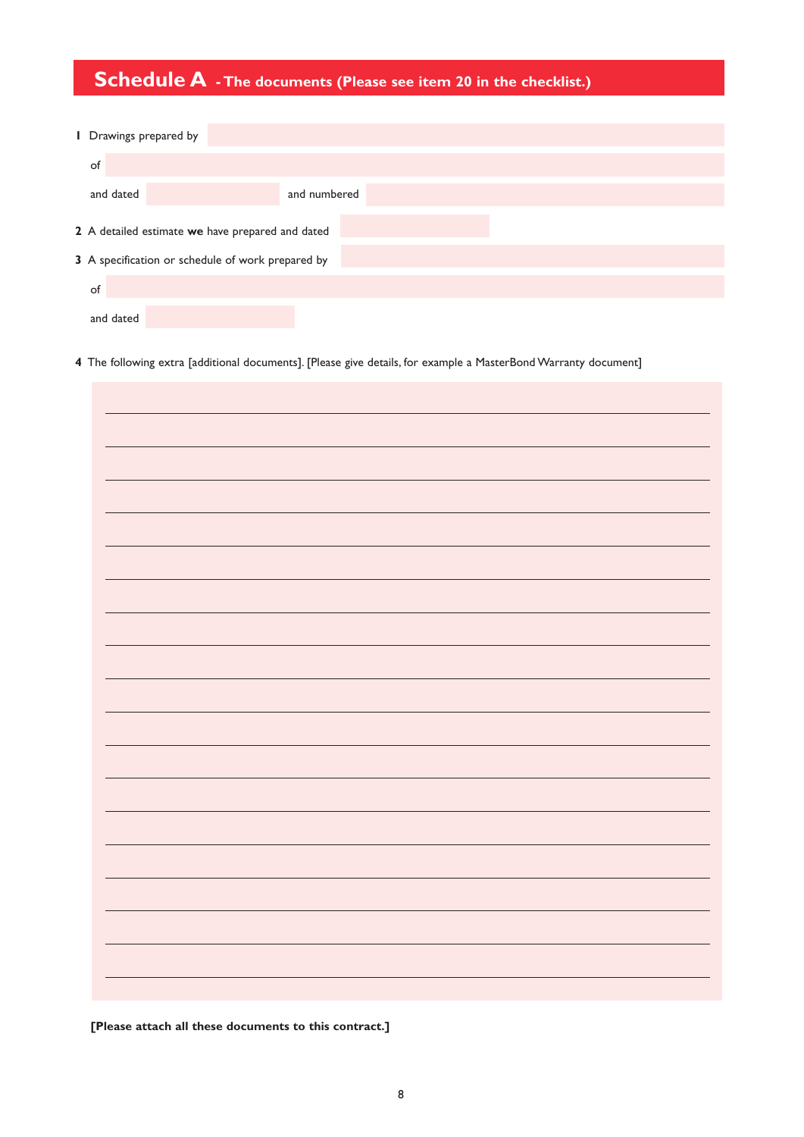## **Schedule A - The documents (Please see item <sup>20</sup> in the checklist.)**

| I Drawings prepared by                            |           |                                                  |              |  |
|---------------------------------------------------|-----------|--------------------------------------------------|--------------|--|
|                                                   | of        |                                                  |              |  |
|                                                   | and dated |                                                  | and numbered |  |
|                                                   |           | 2 A detailed estimate we have prepared and dated |              |  |
| 3 A specification or schedule of work prepared by |           |                                                  |              |  |
|                                                   | of        |                                                  |              |  |

**4** The following extra [additional documents]. [Please give details, for example a MasterBond Warranty document]

and dated

**[Please attach all these documents to this contract.]**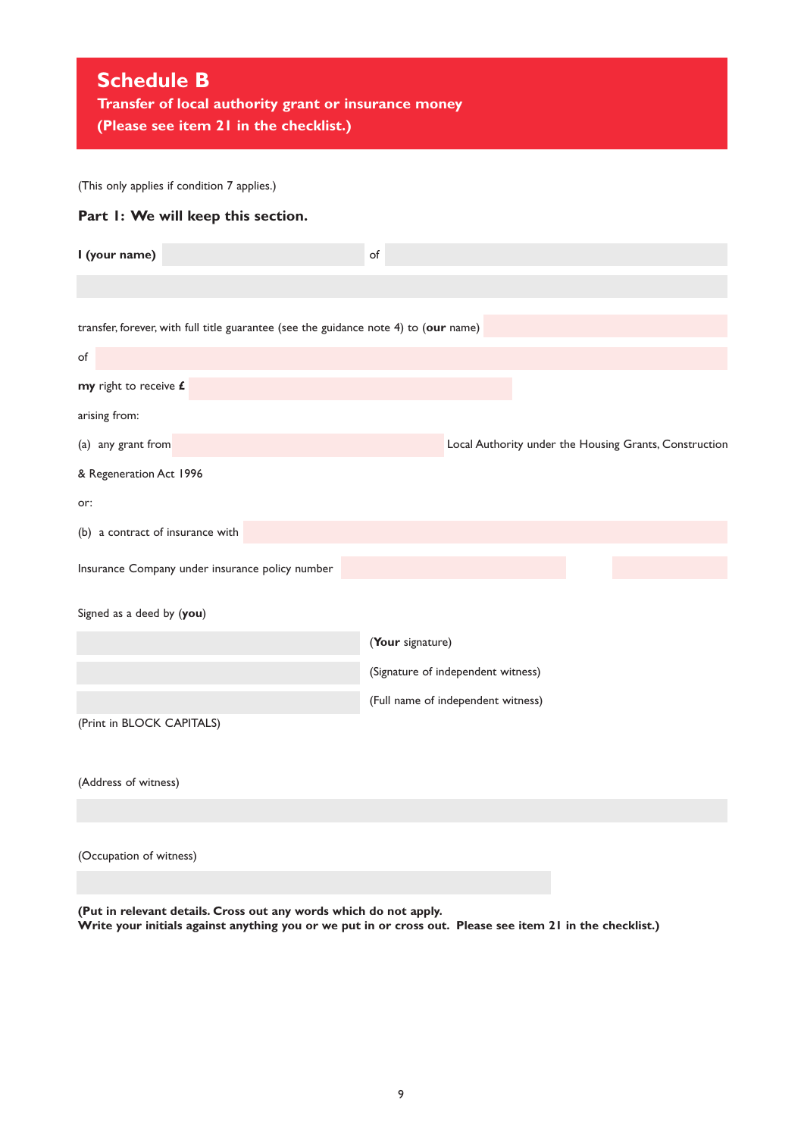## **Schedule B**

**Transfer of local authority grant or insurance money (Please see item 21 in the checklist.)**

(This only applies if condition 7 applies.)

## **Part 1: We will keep this section.**

| I (your name)                                                                        | of                                                     |
|--------------------------------------------------------------------------------------|--------------------------------------------------------|
|                                                                                      |                                                        |
| transfer, forever, with full title guarantee (see the guidance note 4) to (our name) |                                                        |
| of                                                                                   |                                                        |
| my right to receive £                                                                |                                                        |
| arising from:                                                                        |                                                        |
| (a) any grant from                                                                   | Local Authority under the Housing Grants, Construction |
| & Regeneration Act 1996                                                              |                                                        |
| or:                                                                                  |                                                        |
| (b) a contract of insurance with                                                     |                                                        |
| Insurance Company under insurance policy number                                      |                                                        |
| Signed as a deed by (you)                                                            |                                                        |
|                                                                                      | (Your signature)                                       |
|                                                                                      | (Signature of independent witness)                     |
|                                                                                      | (Full name of independent witness)                     |
| (Print in BLOCK CAPITALS)                                                            |                                                        |
|                                                                                      |                                                        |
| (Address of witness)                                                                 |                                                        |
|                                                                                      |                                                        |
| (Occupation of witness)                                                              |                                                        |

**(Put in relevant details. Cross out any words which do not apply.** Write your initials against anything you or we put in or cross out. Please see item 21 in the checklist.)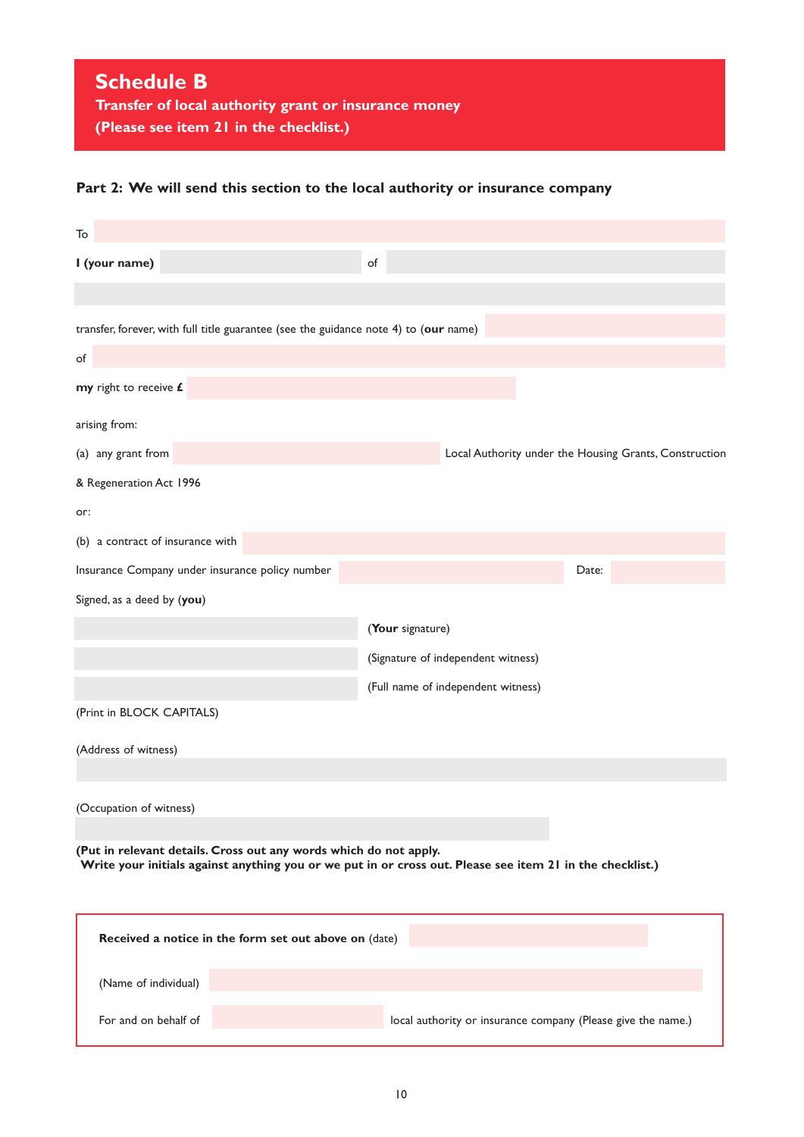## **Part 2: We will send this section to the local authority or insurance company**

| To                                                                                   |                                                                                                           |  |
|--------------------------------------------------------------------------------------|-----------------------------------------------------------------------------------------------------------|--|
| I (your name)                                                                        | of                                                                                                        |  |
|                                                                                      |                                                                                                           |  |
| transfer, forever, with full title guarantee (see the guidance note 4) to (our name) |                                                                                                           |  |
| of                                                                                   |                                                                                                           |  |
| my right to receive £                                                                |                                                                                                           |  |
| arising from:                                                                        |                                                                                                           |  |
| (a) any grant from                                                                   | Local Authority under the Housing Grants, Construction                                                    |  |
| & Regeneration Act 1996                                                              |                                                                                                           |  |
| or:                                                                                  |                                                                                                           |  |
| (b) a contract of insurance with                                                     |                                                                                                           |  |
| Insurance Company under insurance policy number                                      | Date:                                                                                                     |  |
| Signed, as a deed by (you)                                                           |                                                                                                           |  |
|                                                                                      | (Your signature)                                                                                          |  |
| (Signature of independent witness)                                                   |                                                                                                           |  |
|                                                                                      | (Full name of independent witness)                                                                        |  |
| (Print in BLOCK CAPITALS)                                                            |                                                                                                           |  |
| (Address of witness)                                                                 |                                                                                                           |  |
|                                                                                      |                                                                                                           |  |
| (Occupation of witness)                                                              |                                                                                                           |  |
| (Put in relevant details. Cross out any words which do not apply.                    |                                                                                                           |  |
|                                                                                      | Write your initials against anything you or we put in or cross out. Please see item 21 in the checklist.) |  |
|                                                                                      |                                                                                                           |  |
| Received a notice in the form set out above on (date)                                |                                                                                                           |  |
| (Name of individual)                                                                 |                                                                                                           |  |
| For and on behalf of                                                                 | local authority or insurance company (Please give the name.)                                              |  |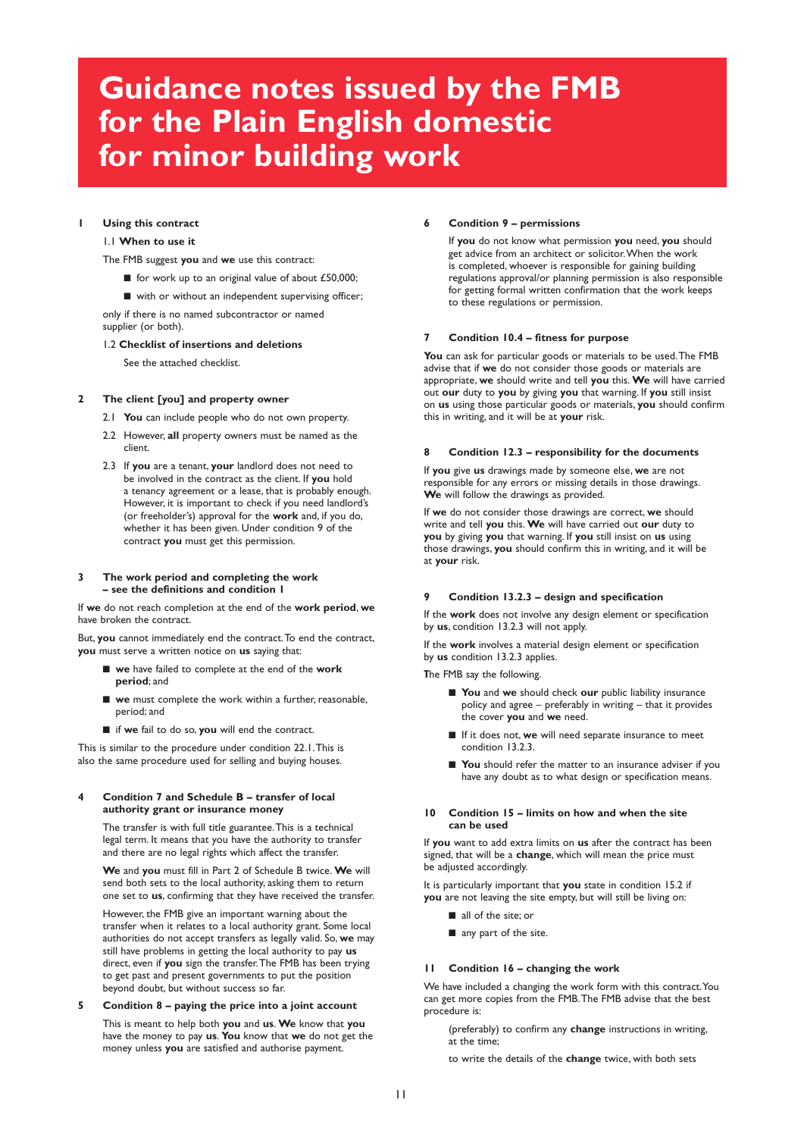# **Guidance notes issued by the FMB for the Plain English domestic for minor building work**

#### **1 Using this contract**

#### 1.1 **When to use it**

The FMB suggest **you** and **we** use this contract:

- for work up to an original value of about £50,000;
- with or without an independent supervising officer;

only if there is no named subcontractor or named supplier (or both).

#### 1.2 **Checklist of insertions and deletions**

See the attached checklist.

#### **2 The client [you] and property owner**

- 2.1 **You** can include people who do not own property.
- 2.2 However, **all** property owners must be named as the client.
- 2.3 If **you** are a tenant, **your** landlord does not need to be involved in the contract as the client. If **you** hold a tenancy agreement or a lease, that is probably enough. However, it is important to check if you need landlord's (or freeholder's) approval for the **work** and, if you do, whether it has been given. Under condition 9 of the contract **you** must get this permission.

#### **3 The work period and completing the work – see the definitions and condition 1**

If **we** do not reach completion at the end of the **work period**, **we** have broken the contract.

But, you cannot immediately end the contract. To end the contract, **you** must serve a written notice on **us** saying that:

- **■ we** have failed to complete at the end of the **work period**; and
- **■ we** must complete the work within a further, reasonable, period; and
- **■** if **we** fail to do so, **you** will end the contract.

This is similar to the procedure under condition 22.1.This is also the same procedure used for selling and buying houses.

#### **4 Condition 7 and Schedule B – transfer of local authority grant or insurance money**

The transfer is with full title guarantee.This is a technical legal term. It means that you have the authority to transfer and there are no legal rights which affect the transfer.

**We** and **you** must fill in Part 2 of Schedule B twice. **We** will send both sets to the local authority, asking them to return one set to **us**, confirming that they have received the transfer.

However, the FMB give an important warning about the transfer when it relates to a local authority grant. Some local authorities do not accept transfers as legally valid. So, **we** may still have problems in getting the local authority to pay **us** direct, even if **you** sign the transfer.The FMB has been trying to get past and present governments to put the position beyond doubt, but without success so far.

### **5 Condition 8 – paying the price into a joint account**

This is meant to help both **you** and **us**. **We** know that **you** have the money to pay **us**. **You** know that **we** do not get the money unless **you** are satisfied and authorise payment.

#### **6 Condition 9 – permissions**

If **you** do not know what permission **you** need, **you** should get advice from an architect or solicitor.When the work is completed, whoever is responsible for gaining building regulations approval/or planning permission is also responsible for getting formal written confirmation that the work keeps to these regulations or permission.

#### **7 Condition 10.4 – fitness for purpose**

**You** can ask for particular goods or materials to be used.The FMB advise that if **we** do not consider those goods or materials are appropriate, **we** should write and tell **you** this. **We** will have carried out **our** duty to **you** by giving **you** that warning. If **you** still insist on **us** using those particular goods or materials, **you** should confirm this in writing, and it will be at **your** risk.

#### **8 Condition 12.3 – responsibility for the documents**

If **you** give **us** drawings made by someone else, **we** are not responsible for any errors or missing details in those drawings. **We** will follow the drawings as provided.

If **we** do not consider those drawings are correct, **we** should write and tell **you** this. **We** will have carried out **our** duty to **you** by giving **you** that warning. If **you** still insist on **us** using those drawings, **you** should confirm this in writing, and it will be at **your** risk.

#### **9 Condition 13.2.3 – design and specification**

If the **work** does not involve any design element or specification by **us**, condition 13.2.3 will not apply.

If the **work** involves a material design element or specification by **us** condition 13.2.3 applies.

**T**he FMB say the following.

- **■ You** and **we** should check **our** public liability insurance policy and agree – preferably in writing – that it provides the cover **you** and **we** need.
- **■** If it does not, **we** will need separate insurance to meet condition 13.2.3.
- You should refer the matter to an insurance adviser if you have any doubt as to what design or specification means.

#### **10 Condition 15 – limits on how and when the site can be used**

If **you** want to add extra limits on **us** after the contract has been signed, that will be a **change**, which will mean the price must be adjusted accordingly.

It is particularly important that **you** state in condition 15.2 if **you** are not leaving the site empty, but will still be living on:

- **■** all of the site; or
- any part of the site.

#### **11 Condition 16 – changing the work**

We have included a changing the work form with this contract.You can get more copies from the FMB.The FMB advise that the best procedure is:

(preferably) to confirm any **change** instructions in writing, at the time;

to write the details of the **change** twice, with both sets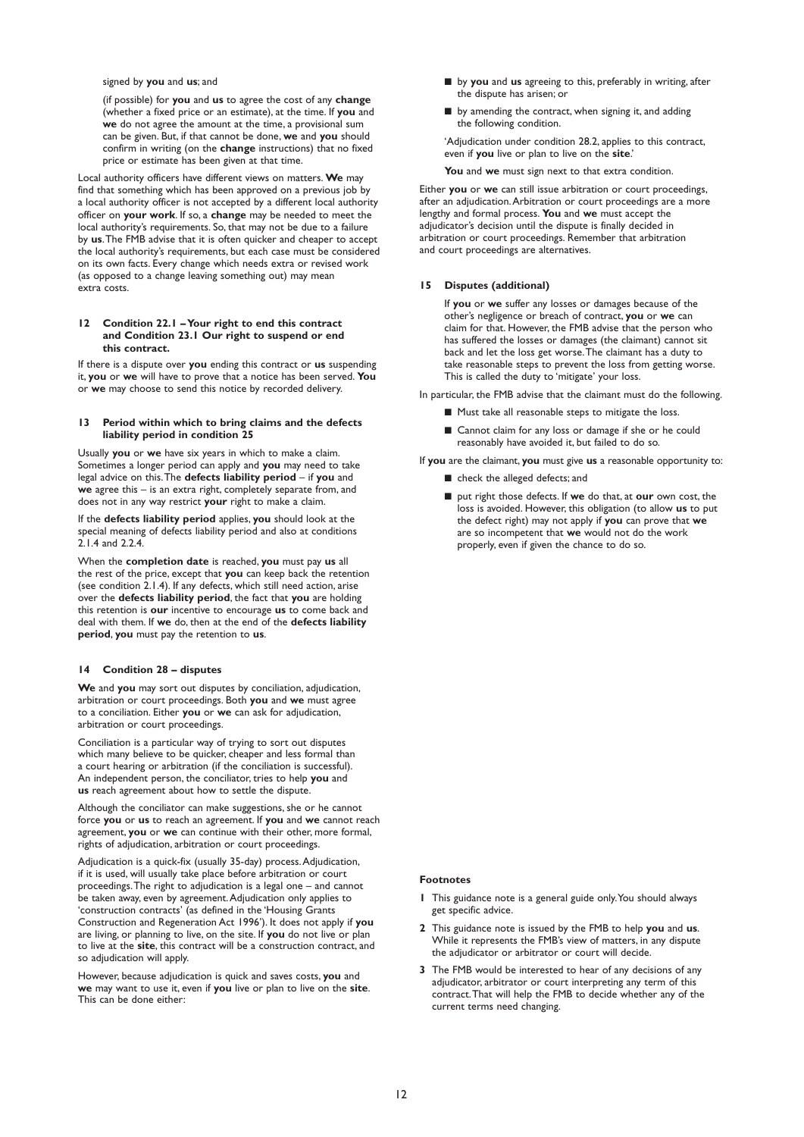signed by **you** and **us**; and

(if possible) for **you** and **us** to agree the cost of any **change** (whether a fixed price or an estimate), at the time. If **you** and **we** do not agree the amount at the time, a provisional sum can be given. But, if that cannot be done, **we** and **you** should confirm in writing (on the **change** instructions) that no fixed price or estimate has been given at that time.

Local authority officers have different views on matters. **We** may find that something which has been approved on a previous job by a local authority officer is not accepted by a different local authority officer on **your work**. If so, a **change** may be needed to meet the local authority's requirements. So, that may not be due to a failure by **us**.The FMB advise that it is often quicker and cheaper to accept the local authority's requirements, but each case must be considered on its own facts. Every change which needs extra or revised work (as opposed to a change leaving something out) may mean extra costs.

#### **12 Condition 22.1 –Your right to end this contract and Condition 23.1 Our right to suspend or end this contract.**

If there is a dispute over **you** ending this contract or **us** suspending it, **you** or **we** will have to prove that a notice has been served. **You** or **we** may choose to send this notice by recorded delivery.

#### **13 Period within which to bring claims and the defects liability period in condition 25**

Usually **you** or **we** have six years in which to make a claim. Sometimes a longer period can apply and **you** may need to take legal advice on this.The **defects liability period** – if **you** and **we** agree this – is an extra right, completely separate from, and does not in any way restrict **your** right to make a claim.

If the **defects liability period** applies, **you** should look at the special meaning of defects liability period and also at conditions  $2.14$  and  $2.24$ 

When the **completion date** is reached, **you** must pay **us** all the rest of the price, except that **you** can keep back the retention (see condition 2.1.4). If any defects, which still need action, arise over the **defects liability period**, the fact that **you** are holding this retention is **our** incentive to encourage **us** to come back and deal with them. If **we** do, then at the end of the **defects liability period**, **you** must pay the retention to **us**.

#### **14 Condition 28 – disputes**

**We** and **you** may sort out disputes by conciliation, adjudication, arbitration or court proceedings. Both **you** and **we** must agree to a conciliation. Either **you** or **we** can ask for adjudication, arbitration or court proceedings.

Conciliation is a particular way of trying to sort out disputes which many believe to be quicker, cheaper and less formal than a court hearing or arbitration (if the conciliation is successful). An independent person, the conciliator, tries to help **you** and **us** reach agreement about how to settle the dispute.

Although the conciliator can make suggestions, she or he cannot force **you** or **us** to reach an agreement. If **you** and **we** cannot reach agreement, **you** or **we** can continue with their other, more formal, rights of adjudication, arbitration or court proceedings.

Adjudication is a quick-fix (usually 35-day) process.Adjudication, if it is used, will usually take place before arbitration or court proceedings.The right to adjudication is a legal one – and cannot be taken away, even by agreement.Adjudication only applies to 'construction contracts' (as defined in the 'Housing Grants Construction and Regeneration Act 1996'). It does not apply if **you** are living, or planning to live, on the site. If **you** do not live or plan to live at the **site**, this contract will be a construction contract, and so adjudication will apply.

However, because adjudication is quick and saves costs, **you** and **we** may want to use it, even if **you** live or plan to live on the **site**. This can be done either:

- by you and us agreeing to this, preferably in writing, after the dispute has arisen; or
- by amending the contract, when signing it, and adding the following condition.

'Adjudication under condition 28.2, applies to this contract, even if **you** live or plan to live on the **site**.'

**You** and **we** must sign next to that extra condition.

Either **you** or **we** can still issue arbitration or court proceedings, after an adjudication.Arbitration or court proceedings are a more lengthy and formal process. **You** and **we** must accept the adjudicator's decision until the dispute is finally decided in arbitration or court proceedings. Remember that arbitration and court proceedings are alternatives.

#### **15 Disputes (additional)**

If **you** or **we** suffer any losses or damages because of the other's negligence or breach of contract, **you** or **we** can claim for that. However, the FMB advise that the person who has suffered the losses or damages (the claimant) cannot sit back and let the loss get worse.The claimant has a duty to take reasonable steps to prevent the loss from getting worse. This is called the duty to 'mitigate' your loss.

In particular, the FMB advise that the claimant must do the following.

- Must take all reasonable steps to mitigate the loss.
- Cannot claim for any loss or damage if she or he could reasonably have avoided it, but failed to do so.

If **you** are the claimant, **you** must give **us** a reasonable opportunity to:

- check the alleged defects; and
- put right those defects. If we do that, at **our** own cost, the loss is avoided. However, this obligation (to allow **us** to put the defect right) may not apply if **you** can prove that **we** are so incompetent that **we** would not do the work properly, even if given the chance to do so.

#### **Footnotes**

- **1** This guidance note is a general guide only.You should always get specific advice.
- **2** This guidance note is issued by the FMB to help **you** and **us**. While it represents the FMB's view of matters, in any dispute the adjudicator or arbitrator or court will decide.
- **3** The FMB would be interested to hear of any decisions of any adjudicator, arbitrator or court interpreting any term of this contract.That will help the FMB to decide whether any of the current terms need changing.